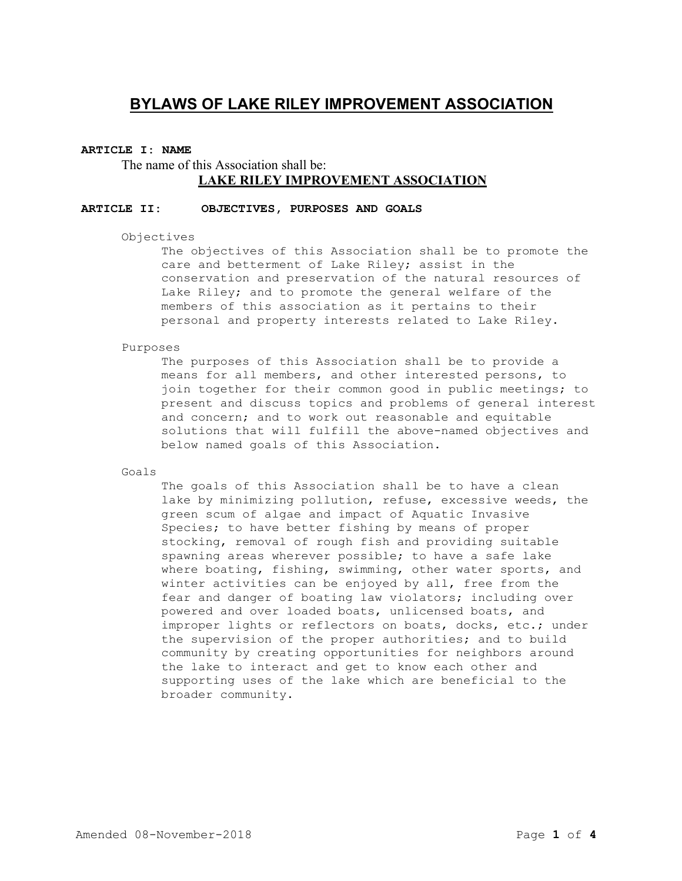# **BYLAWS OF LAKE RILEY IMPROVEMENT ASSOCIATION**

### **ARTICLE I: NAME**

The name of this Association shall be: **LAKE RILEY IMPROVEMENT ASSOCIATION**

# **ARTICLE II: OBJECTIVES, PURPOSES AND GOALS**

Objectives

The objectives of this Association shall be to promote the care and betterment of Lake Riley; assist in the conservation and preservation of the natural resources of Lake Riley; and to promote the general welfare of the members of this association as it pertains to their personal and property interests related to Lake Ri1ey.

Purposes

The purposes of this Association shall be to provide a means for all members, and other interested persons, to join together for their common good in public meetings; to present and discuss topics and problems of general interest and concern; and to work out reasonable and equitable solutions that will fulfill the above-named objectives and below named goals of this Association.

Goals

The goals of this Association shall be to have a clean lake by minimizing pollution, refuse, excessive weeds, the green scum of algae and impact of Aquatic Invasive Species; to have better fishing by means of proper stocking, removal of rough fish and providing suitable spawning areas wherever possible; to have a safe lake where boating, fishing, swimming, other water sports, and winter activities can be enjoyed by all, free from the fear and danger of boating law violators; including over powered and over loaded boats, unlicensed boats, and improper lights or reflectors on boats, docks, etc.; under the supervision of the proper authorities; and to build community by creating opportunities for neighbors around the lake to interact and get to know each other and supporting uses of the lake which are beneficial to the broader community.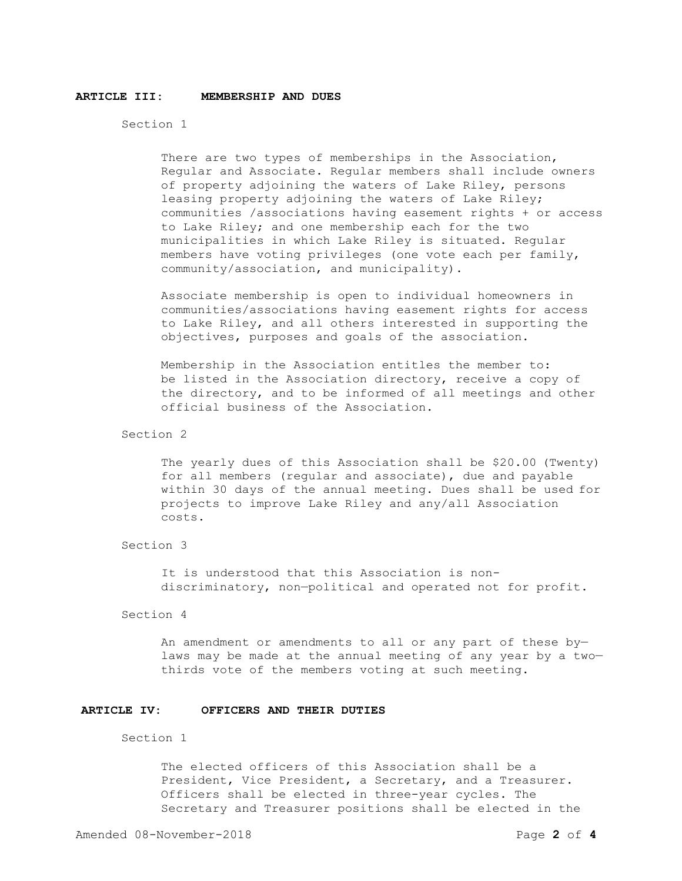#### **ARTICLE III: MEMBERSHIP AND DUES**

Section 1

There are two types of memberships in the Association, Regular and Associate. Regular members shall include owners of property adjoining the waters of Lake Riley, persons leasing property adjoining the waters of Lake Riley; communities /associations having easement rights + or access to Lake Riley; and one membership each for the two municipalities in which Lake Riley is situated. Regular members have voting privileges (one vote each per family, community/association, and municipality).

Associate membership is open to individual homeowners in communities/associations having easement rights for access to Lake Riley, and all others interested in supporting the objectives, purposes and goals of the association.

Membership in the Association entitles the member to: be listed in the Association directory, receive a copy of the directory, and to be informed of all meetings and other official business of the Association.

Section 2

The yearly dues of this Association shall be \$20.00 (Twenty) for all members (regular and associate), due and payable within 30 days of the annual meeting. Dues shall be used for projects to improve Lake Riley and any/all Association costs.

Section 3

It is understood that this Association is nondiscriminatory, non—political and operated not for profit.

Section 4

An amendment or amendments to all or any part of these by laws may be made at the annual meeting of any year by a two thirds vote of the members voting at such meeting.

## **ARTICLE IV: OFFICERS AND THEIR DUTIES**

Section 1

The elected officers of this Association shall be a President, Vice President, a Secretary, and a Treasurer. Officers shall be elected in three-year cycles. The Secretary and Treasurer positions shall be elected in the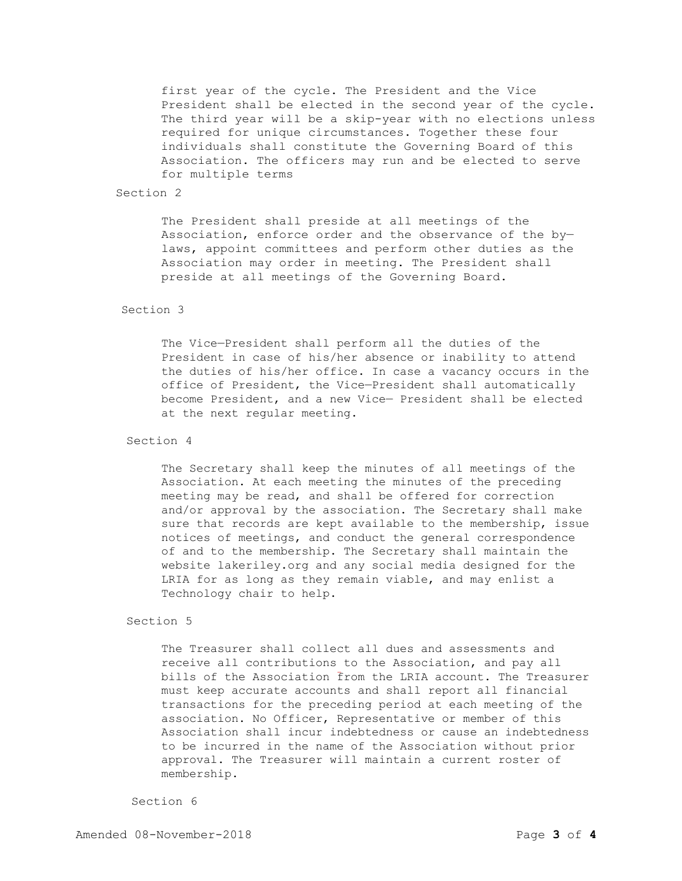first year of the cycle. The President and the Vice President shall be elected in the second year of the cycle. The third year will be a skip-year with no elections unless required for unique circumstances. Together these four individuals shall constitute the Governing Board of this Association. The officers may run and be elected to serve for multiple terms

## Section 2

The President shall preside at all meetings of the Association, enforce order and the observance of the by laws, appoint committees and perform other duties as the Association may order in meeting. The President shall preside at all meetings of the Governing Board.

# Section 3

The Vice—President shall perform all the duties of the President in case of his/her absence or inability to attend the duties of his/her office. In case a vacancy occurs in the office of President, the Vice—President shall automatically become President, and a new Vice— President shall be elected at the next regular meeting.

## Section 4

The Secretary shall keep the minutes of all meetings of the Association. At each meeting the minutes of the preceding meeting may be read, and shall be offered for correction and/or approval by the association. The Secretary shall make sure that records are kept available to the membership, issue notices of meetings, and conduct the general correspondence of and to the membership. The Secretary shall maintain the website lakeriley.org and any social media designed for the LRIA for as long as they remain viable, and may enlist a Technology chair to help.

### Section 5

The Treasurer shall collect all dues and assessments and receive all contributions to the Association, and pay all bills of the Association from the LRIA account. The Treasurer must keep accurate accounts and shall report all financial transactions for the preceding period at each meeting of the association. No Officer, Representative or member of this Association shall incur indebtedness or cause an indebtedness to be incurred in the name of the Association without prior approval. The Treasurer will maintain a current roster of membership.

#### Section 6